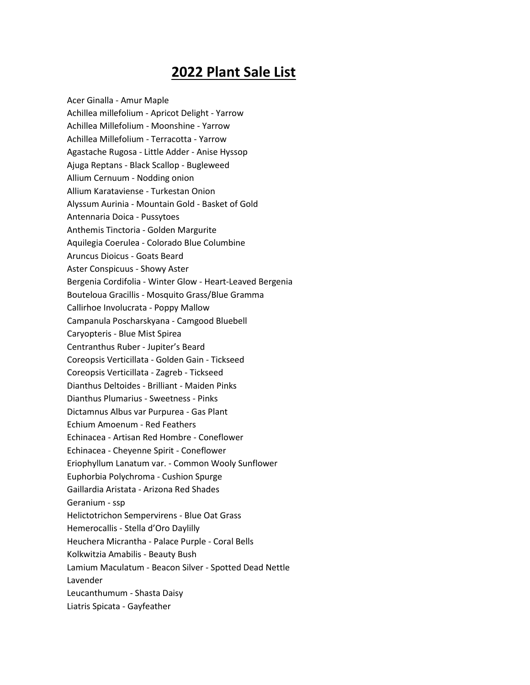## **2022 Plant Sale List**

Acer Ginalla - Amur Maple Achillea millefolium - Apricot Delight - Yarrow Achillea Millefolium - Moonshine - Yarrow Achillea Millefolium - Terracotta - Yarrow Agastache Rugosa - Little Adder - Anise Hyssop Ajuga Reptans - Black Scallop - Bugleweed Allium Cernuum - Nodding onion Allium Karataviense - Turkestan Onion Alyssum Aurinia - Mountain Gold - Basket of Gold Antennaria Doica - Pussytoes Anthemis Tinctoria - Golden Margurite Aquilegia Coerulea - Colorado Blue Columbine Aruncus Dioicus - Goats Beard Aster Conspicuus - Showy Aster Bergenia Cordifolia - Winter Glow - Heart-Leaved Bergenia Bouteloua Gracillis - Mosquito Grass/Blue Gramma Callirhoe Involucrata - Poppy Mallow Campanula Poscharskyana - Camgood Bluebell Caryopteris - Blue Mist Spirea Centranthus Ruber - Jupiter's Beard Coreopsis Verticillata - Golden Gain - Tickseed Coreopsis Verticillata - Zagreb - Tickseed Dianthus Deltoides - Brilliant - Maiden Pinks Dianthus Plumarius - Sweetness - Pinks Dictamnus Albus var Purpurea - Gas Plant Echium Amoenum - Red Feathers Echinacea - Artisan Red Hombre - Coneflower Echinacea - Cheyenne Spirit - Coneflower Eriophyllum Lanatum var. - Common Wooly Sunflower Euphorbia Polychroma - Cushion Spurge Gaillardia Aristata - Arizona Red Shades Geranium - ssp Helictotrichon Sempervirens - Blue Oat Grass Hemerocallis - Stella d'Oro Daylilly Heuchera Micrantha - Palace Purple - Coral Bells Kolkwitzia Amabilis - Beauty Bush Lamium Maculatum - Beacon Silver - Spotted Dead Nettle Lavender Leucanthumum - Shasta Daisy Liatris Spicata - Gayfeather